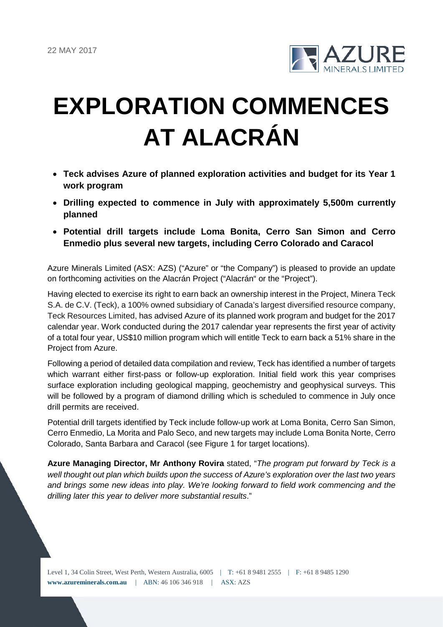

# **EXPLORATION COMMENCES AT ALACRÁN**

- **Teck advises Azure of planned exploration activities and budget for its Year 1 work program**
- **Drilling expected to commence in July with approximately 5,500m currently planned**
- **Potential drill targets include Loma Bonita, Cerro San Simon and Cerro Enmedio plus several new targets, including Cerro Colorado and Caracol**

Azure Minerals Limited (ASX: AZS) ("Azure" or "the Company") is pleased to provide an update on forthcoming activities on the Alacrán Project ("Alacrán" or the "Project").

Having elected to exercise its right to earn back an ownership interest in the Project, Minera Teck S.A. de C.V. (Teck), a 100% owned subsidiary of Canada's largest diversified resource company, Teck Resources Limited, has advised Azure of its planned work program and budget for the 2017 calendar year. Work conducted during the 2017 calendar year represents the first year of activity of a total four year, US\$10 million program which will entitle Teck to earn back a 51% share in the Project from Azure.

Following a period of detailed data compilation and review, Teck has identified a number of targets which warrant either first-pass or follow-up exploration. Initial field work this year comprises surface exploration including geological mapping, geochemistry and geophysical surveys. This will be followed by a program of diamond drilling which is scheduled to commence in July once drill permits are received.

Potential drill targets identified by Teck include follow-up work at Loma Bonita, Cerro San Simon, Cerro Enmedio, La Morita and Palo Seco, and new targets may include Loma Bonita Norte, Cerro Colorado, Santa Barbara and Caracol (see Figure 1 for target locations).

**Azure Managing Director, Mr Anthony Rovira** stated, "*The program put forward by Teck is a well thought out plan which builds upon the success of Azure's exploration over the last two years and brings some new ideas into play. We're looking forward to field work commencing and the drilling later this year to deliver more substantial results*."